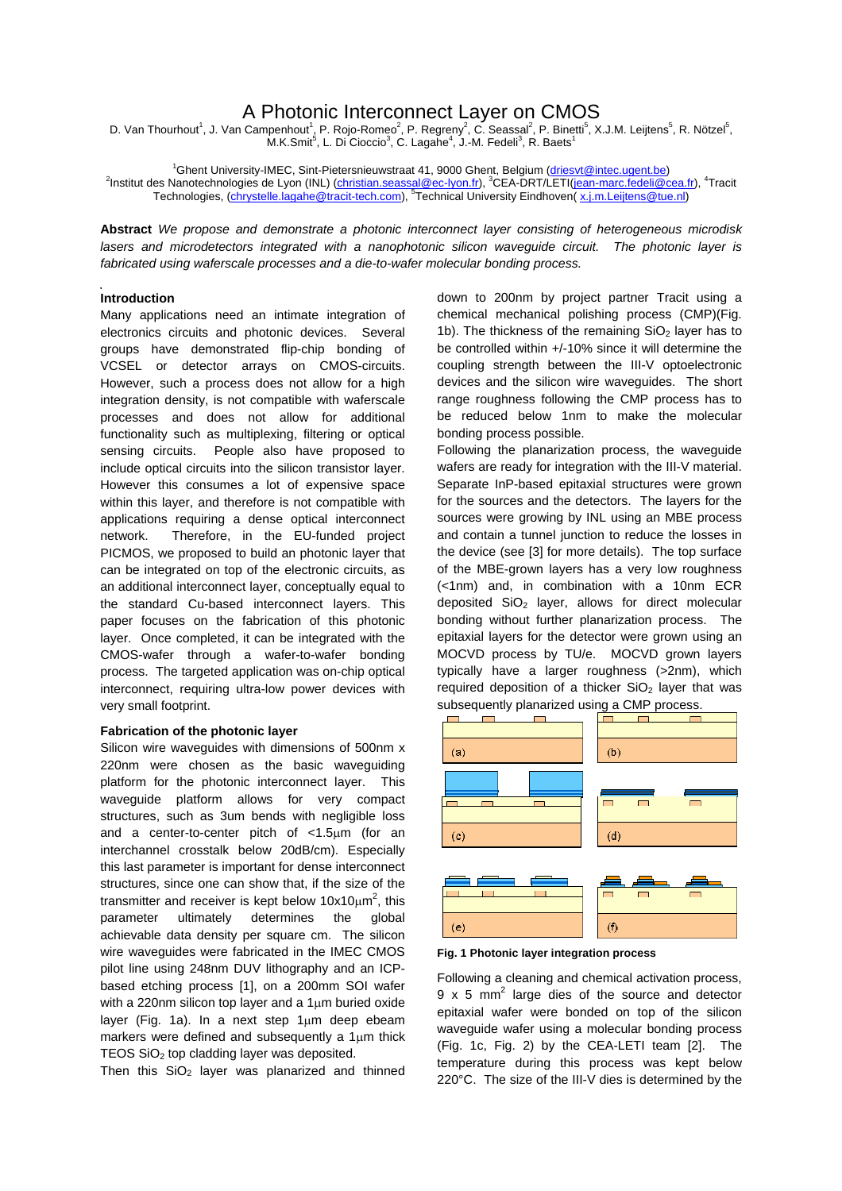# A Photonic Interconnect Layer on CMOS

D. Van Thourhout<sup>1</sup>, J. Van Campenhout<sup>1</sup>, P. Rojo-Romeo<sup>2</sup>, P. Regreny<sup>2</sup>, C. Seassal<sup>2</sup>, P. Binetti<sup>5</sup>, X.J.M. Leijtens<sup>5</sup>, R. Nötzel<sup>5</sup>,<br>M.K.Smit<sup>5</sup>, L. Di Cioccio<sup>3</sup>, C. Lagahe<sup>4</sup>, J.-M. Fedeli<sup>3</sup>, R. Baets<sup>1</sup>

<sup>1</sup> Ghent University-IMEC, Sint-Pietersnieuwstraat 41, 9000 Ghent, Belgium (*driesvt@intec.ugent.be)*<sup>2</sup><br><sup>2</sup> patitut dee Napeteebrelegies de Lyes (INL) (objetier essessel@es hyp fr) <sup>3</sup>CEA DRT/LETUiser mere fedeli@e

Institut des Nanotechnologies de Lyon (INL) (christian.seassal@ec-lyon.fr), <sup>3</sup>CEA-DRT/LETI(jean-marc.fedeli@cea.fr), <sup>4</sup>Tracit Technologies, (chrystelle.lagahe@tracit-tech.com), <sup>5</sup>Technical University Eindhoven(x.j.m.Leijtens@tue.nl)

**Abstract** *We propose and demonstrate a photonic interconnect layer consisting of heterogeneous microdisk lasers and microdetectors integrated with a nanophotonic silicon waveguide circuit. The photonic layer is fabricated using waferscale processes and a die-to-wafer molecular bonding process.*

# **Introduction**

Many applications need an intimate integration of electronics circuits and photonic devices. Several groups have demonstrated flip-chip bonding of VCSEL or detector arrays on CMOS-circuits. However, such a process does not allow for a high integration density, is not compatible with waferscale processes and does not allow for additional functionality such as multiplexing, filtering or optical sensing circuits. People also have proposed to include optical circuits into the silicon transistor layer. However this consumes a lot of expensive space within this layer, and therefore is not compatible with applications requiring a dense optical interconnect network. Therefore, in the EU-funded project PICMOS, we proposed to build an photonic layer that can be integrated on top of the electronic circuits, as an additional interconnect layer, conceptually equal to the standard Cu-based interconnect layers. This paper focuses on the fabrication of this photonic layer. Once completed, it can be integrated with the CMOS-wafer through a wafer-to-wafer bonding process. The targeted application was on-chip optical interconnect, requiring ultra-low power devices with very small footprint.

### **Fabrication of the photonic layer**

Silicon wire waveguides with dimensions of 500nm x 220nm were chosen as the basic waveguiding platform for the photonic interconnect layer. This waveguide platform allows for very compact structures, such as 3um bends with negligible loss and a center-to-center pitch of <1.5µm (for an interchannel crosstalk below 20dB/cm). Especially this last parameter is important for dense interconnect structures, since one can show that, if the size of the transmitter and receiver is kept below 10x10 $\mu$ m<sup>2</sup>, this parameter ultimately determines the global achievable data density per square cm. The silicon wire waveguides were fabricated in the IMEC CMOS pilot line using 248nm DUV lithography and an ICPbased etching process [1], on a 200mm SOI wafer with a 220nm silicon top layer and a  $1\mu$ m buried oxide layer (Fig. 1a). In a next step 1µm deep ebeam markers were defined and subsequently a 1µm thick TEOS SiO2 top cladding layer was deposited.

Then this  $SiO<sub>2</sub>$  layer was planarized and thinned

down to 200nm by project partner Tracit using a chemical mechanical polishing process (CMP)(Fig. 1b). The thickness of the remaining  $SiO<sub>2</sub>$  layer has to be controlled within +/-10% since it will determine the coupling strength between the III-V optoelectronic devices and the silicon wire waveguides. The short range roughness following the CMP process has to be reduced below 1nm to make the molecular bonding process possible.

Following the planarization process, the waveguide wafers are ready for integration with the III-V material. Separate InP-based epitaxial structures were grown for the sources and the detectors. The layers for the sources were growing by INL using an MBE process and contain a tunnel junction to reduce the losses in the device (see [3] for more details). The top surface of the MBE-grown layers has a very low roughness (<1nm) and, in combination with a 10nm ECR deposited  $SiO<sub>2</sub>$  layer, allows for direct molecular bonding without further planarization process. The epitaxial layers for the detector were grown using an MOCVD process by TU/e. MOCVD grown layers typically have a larger roughness (>2nm), which required deposition of a thicker  $SiO<sub>2</sub>$  layer that was subsequently planarized using a CMP process.



**Fig. 1 Photonic layer integration process**

Following a cleaning and chemical activation process,  $9 \times 5$  mm<sup>2</sup> large dies of the source and detector epitaxial wafer were bonded on top of the silicon waveguide wafer using a molecular bonding process (Fig. 1c, Fig. 2) by the CEA-LETI team [2]. The temperature during this process was kept below 220°C. The size of the III-V dies is determined by the